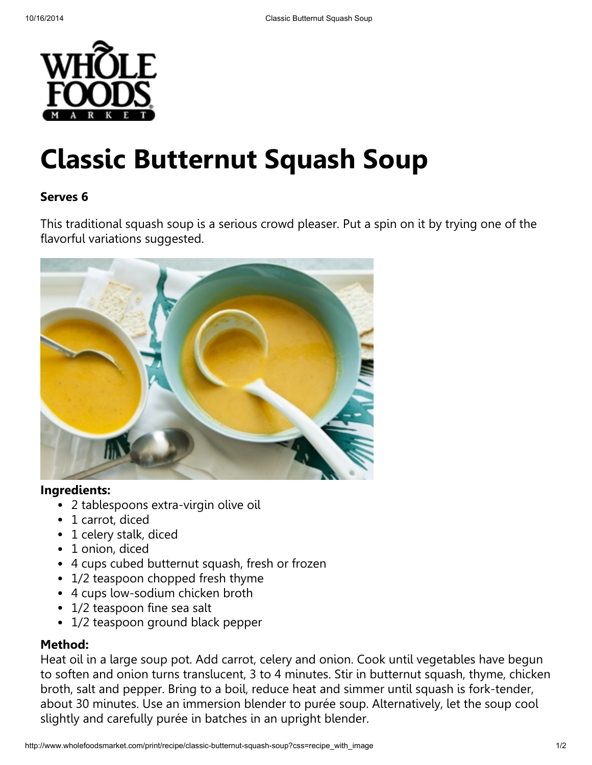

# Classic Butternut Squash Soup

## Serves 6

This traditional squash soup is a serious crowd pleaser. Put a spin on it by trying one of the flavorful variations suggested.



#### Ingredients:

- 2 tablespoons extra-virgin olive oil
- 1 carrot, diced
- 1 celery stalk, diced
- 1 onion, diced
- 4 cups cubed butternut squash, fresh or frozen
- 1/2 teaspoon chopped fresh thyme
- 4 cups low-sodium chicken broth
- 1/2 teaspoon fine sea salt
- 1/2 teaspoon ground black pepper

### Method:

Heat oil in a large soup pot. Add carrot, celery and onion. Cook until vegetables have begun to soften and onion turns translucent, 3 to 4 minutes. Stir in butternut squash, thyme, chicken broth, salt and pepper. Bring to a boil, reduce heat and simmer until squash is fork-tender, about 30 minutes. Use an immersion blender to purée soup. Alternatively, let the soup cool slightly and carefully purée in batches in an upright blender.